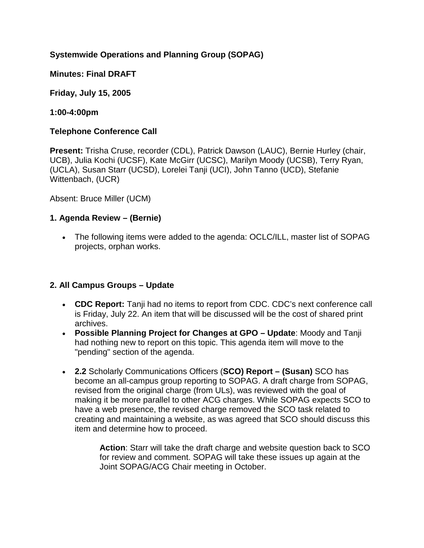# **Systemwide Operations and Planning Group (SOPAG)**

**Minutes: Final DRAFT**

**Friday, July 15, 2005** 

**1:00-4:00pm**

### **Telephone Conference Call**

**Present:** Trisha Cruse, recorder (CDL), Patrick Dawson (LAUC), Bernie Hurley (chair, UCB), Julia Kochi (UCSF), Kate McGirr (UCSC), Marilyn Moody (UCSB), Terry Ryan, (UCLA), Susan Starr (UCSD), Lorelei Tanji (UCI), John Tanno (UCD), Stefanie Wittenbach, (UCR)

Absent: Bruce Miller (UCM)

### **1. Agenda Review – (Bernie)**

• The following items were added to the agenda: OCLC/ILL, master list of SOPAG projects, orphan works.

## **2. All Campus Groups – Update**

- **CDC Report:** Tanji had no items to report from CDC. CDC's next conference call is Friday, July 22. An item that will be discussed will be the cost of shared print archives.
- **Possible Planning Project for Changes at GPO – Update**: Moody and Tanji had nothing new to report on this topic. This agenda item will move to the "pending" section of the agenda.
- **2.2** Scholarly Communications Officers (**SCO) Report – (Susan)** SCO has become an all-campus group reporting to SOPAG. A draft charge from SOPAG, revised from the original charge (from ULs), was reviewed with the goal of making it be more parallel to other ACG charges. While SOPAG expects SCO to have a web presence, the revised charge removed the SCO task related to creating and maintaining a website, as was agreed that SCO should discuss this item and determine how to proceed.

**Action**: Starr will take the draft charge and website question back to SCO for review and comment. SOPAG will take these issues up again at the Joint SOPAG/ACG Chair meeting in October.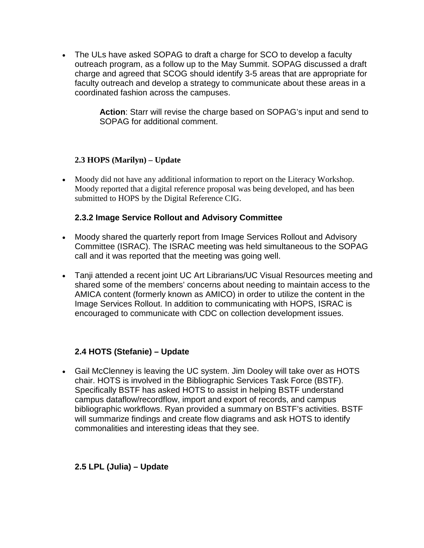• The ULs have asked SOPAG to draft a charge for SCO to develop a faculty outreach program, as a follow up to the May Summit. SOPAG discussed a draft charge and agreed that SCOG should identify 3-5 areas that are appropriate for faculty outreach and develop a strategy to communicate about these areas in a coordinated fashion across the campuses.

> **Action**: Starr will revise the charge based on SOPAG's input and send to SOPAG for additional comment.

### **2.3 HOPS (Marilyn) – Update**

• Moody did not have any additional information to report on the Literacy Workshop. Moody reported that a digital reference proposal was being developed, and has been submitted to HOPS by the Digital Reference CIG.

### **2.3.2 Image Service Rollout and Advisory Committee**

- Moody shared the quarterly report from Image Services Rollout and Advisory Committee (ISRAC). The ISRAC meeting was held simultaneous to the SOPAG call and it was reported that the meeting was going well.
- Tanji attended a recent joint UC Art Librarians/UC Visual Resources meeting and shared some of the members' concerns about needing to maintain access to the AMICA content (formerly known as AMICO) in order to utilize the content in the Image Services Rollout. In addition to communicating with HOPS, ISRAC is encouraged to communicate with CDC on collection development issues.

## **2.4 HOTS (Stefanie) – Update**

• Gail McClenney is leaving the UC system. Jim Dooley will take over as HOTS chair. HOTS is involved in the Bibliographic Services Task Force (BSTF). Specifically BSTF has asked HOTS to assist in helping BSTF understand campus dataflow/recordflow, import and export of records, and campus bibliographic workflows. Ryan provided a summary on BSTF's activities. BSTF will summarize findings and create flow diagrams and ask HOTS to identify commonalities and interesting ideas that they see.

## **2.5 LPL (Julia) – Update**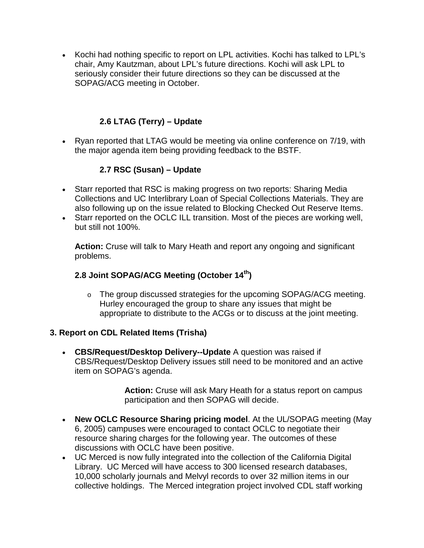• Kochi had nothing specific to report on LPL activities. Kochi has talked to LPL's chair, Amy Kautzman, about LPL's future directions. Kochi will ask LPL to seriously consider their future directions so they can be discussed at the SOPAG/ACG meeting in October.

# **2.6 LTAG (Terry) – Update**

• Ryan reported that LTAG would be meeting via online conference on 7/19, with the major agenda item being providing feedback to the BSTF.

# **2.7 RSC (Susan) – Update**

- Starr reported that RSC is making progress on two reports: Sharing Media Collections and UC Interlibrary Loan of Special Collections Materials. They are also following up on the issue related to Blocking Checked Out Reserve Items.
- Starr reported on the OCLC ILL transition. Most of the pieces are working well, but still not 100%.

**Action:** Cruse will talk to Mary Heath and report any ongoing and significant problems.

# **2.8 Joint SOPAG/ACG Meeting (October 14th)**

o The group discussed strategies for the upcoming SOPAG/ACG meeting. Hurley encouraged the group to share any issues that might be appropriate to distribute to the ACGs or to discuss at the joint meeting.

## **3. Report on CDL Related Items (Trisha)**

• **CBS/Request/Desktop Delivery--Update** A question was raised if CBS/Request/Desktop Delivery issues still need to be monitored and an active item on SOPAG's agenda.

> **Action:** Cruse will ask Mary Heath for a status report on campus participation and then SOPAG will decide.

- **New OCLC Resource Sharing pricing model**. At the UL/SOPAG meeting (May 6, 2005) campuses were encouraged to contact OCLC to negotiate their resource sharing charges for the following year. The outcomes of these discussions with OCLC have been positive.
- UC Merced is now fully integrated into the collection of the California Digital Library. UC Merced will have access to 300 licensed research databases, 10,000 scholarly journals and Melvyl records to over 32 million items in our collective holdings. The Merced integration project involved CDL staff working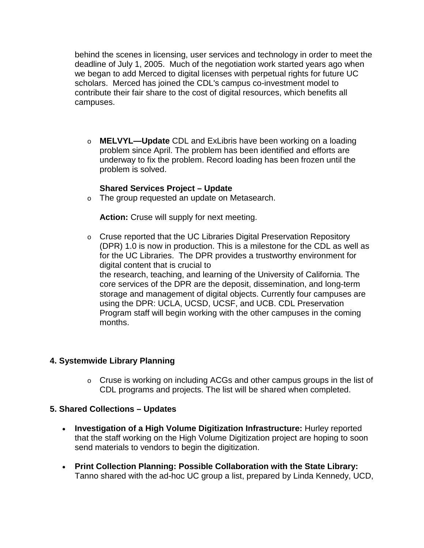behind the scenes in licensing, user services and technology in order to meet the deadline of July 1, 2005. Much of the negotiation work started years ago when we began to add Merced to digital licenses with perpetual rights for future UC scholars. Merced has joined the CDL's campus co-investment model to contribute their fair share to the cost of digital resources, which benefits all campuses.

o **MELVYL—Update** CDL and ExLibris have been working on a loading problem since April. The problem has been identified and efforts are underway to fix the problem. Record loading has been frozen until the problem is solved.

#### **Shared Services Project – Update**

o The group requested an update on Metasearch.

**Action:** Cruse will supply for next meeting.

o Cruse reported that the UC Libraries Digital Preservation Repository (DPR) 1.0 is now in production. This is a milestone for the CDL as well as for the UC Libraries. The DPR provides a trustworthy environment for digital content that is crucial to the research, teaching, and learning of the University of California. The core services of the DPR are the deposit, dissemination, and long-term storage and management of digital objects. Currently four campuses are using the DPR: UCLA, UCSD, UCSF, and UCB. CDL Preservation Program staff will begin working with the other campuses in the coming months.

#### **4. Systemwide Library Planning**

o Cruse is working on including ACGs and other campus groups in the list of CDL programs and projects. The list will be shared when completed.

#### **5. Shared Collections – Updates**

- **Investigation of a High Volume Digitization Infrastructure:** Hurley reported that the staff working on the High Volume Digitization project are hoping to soon send materials to vendors to begin the digitization.
- **Print Collection Planning: Possible Collaboration with the State Library:**  Tanno shared with the ad-hoc UC group a list, prepared by Linda Kennedy, UCD,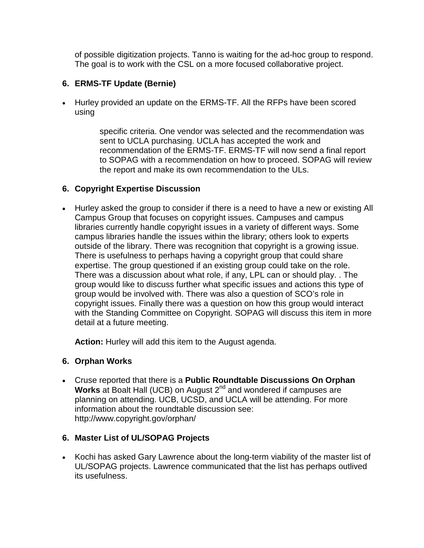of possible digitization projects. Tanno is waiting for the ad-hoc group to respond. The goal is to work with the CSL on a more focused collaborative project.

# **6. ERMS-TF Update (Bernie)**

• Hurley provided an update on the ERMS-TF. All the RFPs have been scored using

> specific criteria. One vendor was selected and the recommendation was sent to UCLA purchasing. UCLA has accepted the work and recommendation of the ERMS-TF. ERMS-TF will now send a final report to SOPAG with a recommendation on how to proceed. SOPAG will review the report and make its own recommendation to the ULs.

## **6. Copyright Expertise Discussion**

• Hurley asked the group to consider if there is a need to have a new or existing All Campus Group that focuses on copyright issues. Campuses and campus libraries currently handle copyright issues in a variety of different ways. Some campus libraries handle the issues within the library; others look to experts outside of the library. There was recognition that copyright is a growing issue. There is usefulness to perhaps having a copyright group that could share expertise. The group questioned if an existing group could take on the role. There was a discussion about what role, if any, LPL can or should play. . The group would like to discuss further what specific issues and actions this type of group would be involved with. There was also a question of SCO's role in copyright issues. Finally there was a question on how this group would interact with the Standing Committee on Copyright. SOPAG will discuss this item in more detail at a future meeting.

**Action:** Hurley will add this item to the August agenda.

## **6. Orphan Works**

• Cruse reported that there is a **Public Roundtable Discussions On Orphan Works** at Boalt Hall (UCB) on August 2<sup>nd</sup> and wondered if campuses are planning on attending. UCB, UCSD, and UCLA will be attending. For more information about the roundtable discussion see: http://www.copyright.gov/orphan/

# **6. Master List of UL/SOPAG Projects**

• Kochi has asked Gary Lawrence about the long-term viability of the master list of UL/SOPAG projects. Lawrence communicated that the list has perhaps outlived its usefulness.